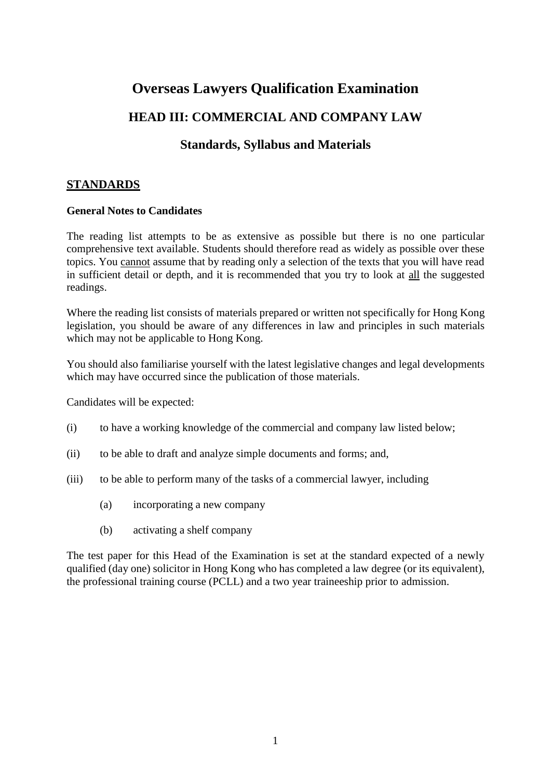# **Overseas Lawyers Qualification Examination**

## **HEAD III: COMMERCIAL AND COMPANY LAW**

## **Standards, Syllabus and Materials**

## **STANDARDS**

#### **General Notes to Candidates**

The reading list attempts to be as extensive as possible but there is no one particular comprehensive text available. Students should therefore read as widely as possible over these topics. You cannot assume that by reading only a selection of the texts that you will have read in sufficient detail or depth, and it is recommended that you try to look at all the suggested readings.

Where the reading list consists of materials prepared or written not specifically for Hong Kong legislation, you should be aware of any differences in law and principles in such materials which may not be applicable to Hong Kong.

You should also familiarise yourself with the latest legislative changes and legal developments which may have occurred since the publication of those materials.

Candidates will be expected:

- (i) to have a working knowledge of the commercial and company law listed below;
- (ii) to be able to draft and analyze simple documents and forms; and,
- (iii) to be able to perform many of the tasks of a commercial lawyer, including
	- (a) incorporating a new company
	- (b) activating a shelf company

The test paper for this Head of the Examination is set at the standard expected of a newly qualified (day one) solicitor in Hong Kong who has completed a law degree (or its equivalent), the professional training course (PCLL) and a two year traineeship prior to admission.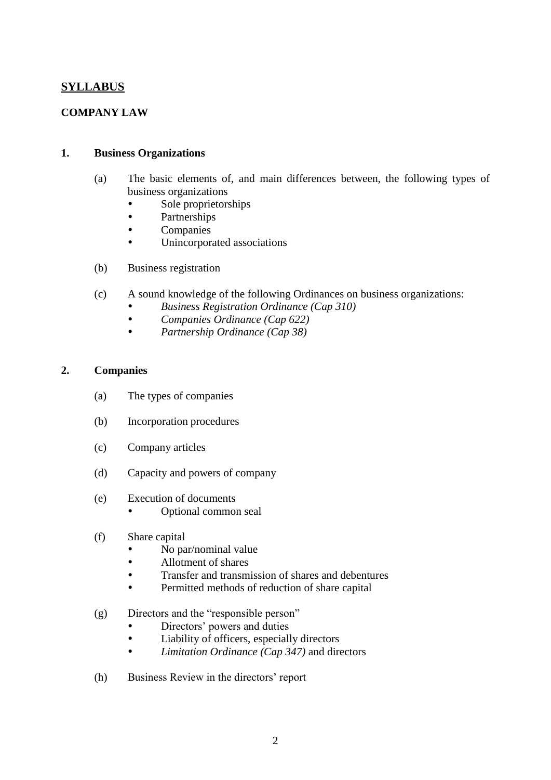## **SYLLABUS**

## **COMPANY LAW**

#### **1. Business Organizations**

- (a) The basic elements of, and main differences between, the following types of business organizations
	- Sole proprietorships
	- Partnerships
	- Companies
	- Unincorporated associations
- (b) Business registration
- (c) A sound knowledge of the following Ordinances on business organizations:
	- *Business Registration Ordinance (Cap 310)*
	- *Companies Ordinance (Cap 622)*
	- *Partnership Ordinance (Cap 38)*

#### **2. Companies**

- (a) The types of companies
- (b) Incorporation procedures
- (c) Company articles
- (d) Capacity and powers of company
- (e) Execution of documents
	- Optional common seal
- (f) Share capital
	- No par/nominal value
	- Allotment of shares
	- Transfer and transmission of shares and debentures
	- Permitted methods of reduction of share capital

#### (g) Directors and the "responsible person"

- Directors' powers and duties
- Liability of officers, especially directors
- *Limitation Ordinance (Cap 347)* and directors
- (h) Business Review in the directors' report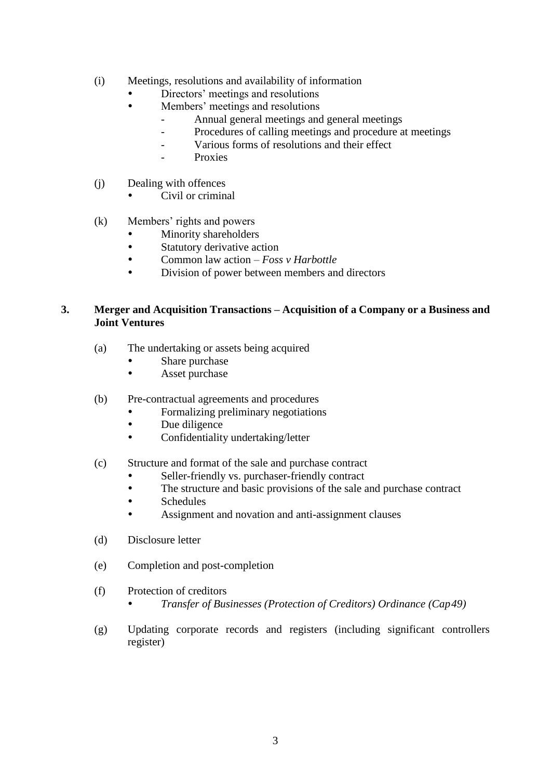- (i) Meetings, resolutions and availability of information
	- Directors' meetings and resolutions
	- Members' meetings and resolutions
		- Annual general meetings and general meetings
		- Procedures of calling meetings and procedure at meetings
		- Various forms of resolutions and their effect
		- Proxies
- (j) Dealing with offences
	- Civil or criminal
- (k) Members' rights and powers
	- Minority shareholders
	- Statutory derivative action
	- Common law action *Foss v Harbottle*
	- Division of power between members and directors

### **3. Merger and Acquisition Transactions – Acquisition of a Company or a Business and Joint Ventures**

- (a) The undertaking or assets being acquired
	- Share purchase
	- Asset purchase
- (b) Pre-contractual agreements and procedures
	- Formalizing preliminary negotiations
	- Due diligence
	- Confidentiality undertaking/letter
- (c) Structure and format of the sale and purchase contract
	- Seller-friendly vs. purchaser-friendly contract
	- The structure and basic provisions of the sale and purchase contract
	- Schedules
	- Assignment and novation and anti-assignment clauses
- (d) Disclosure letter
- (e) Completion and post-completion
- (f) Protection of creditors
	- *Transfer of Businesses (Protection of Creditors) Ordinance (Cap 49)*
- (g) Updating corporate records and registers (including significant controllers register)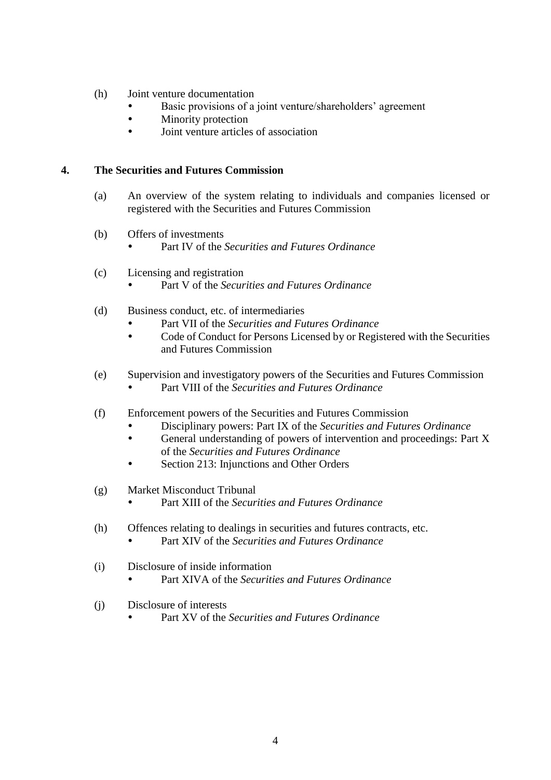- (h) Joint venture documentation
	- Basic provisions of a joint venture/shareholders' agreement
	- Minority protection
	- Joint venture articles of association

#### **4. The Securities and Futures Commission**

- (a) An overview of the system relating to individuals and companies licensed or registered with the Securities and Futures Commission
- (b) Offers of investments
	- Part IV of the *Securities and Futures Ordinance*
- (c) Licensing and registration
	- Part V of the *Securities and Futures Ordinance*
- (d) Business conduct, etc. of intermediaries
	- Part VII of the *Securities and Futures Ordinance*
	- Code of Conduct for Persons Licensed by or Registered with the Securities and Futures Commission
- (e) Supervision and investigatory powers of the Securities and Futures Commission Part VIII of the *Securities and Futures Ordinance*
- (f) Enforcement powers of the Securities and Futures Commission
	- Disciplinary powers: Part IX of the *Securities and Futures Ordinance*
	- General understanding of powers of intervention and proceedings: Part X of the *Securities and Futures Ordinance*
	- Section 213: Injunctions and Other Orders
- (g) Market Misconduct Tribunal
	- Part XIII of the *Securities and Futures Ordinance*
- (h) Offences relating to dealings in securities and futures contracts, etc.
	- Part XIV of the *Securities and Futures Ordinance*
- (i) Disclosure of inside information
	- Part XIVA of the *Securities and Futures Ordinance*
- (j) Disclosure of interests
	- Part XV of the *Securities and Futures Ordinance*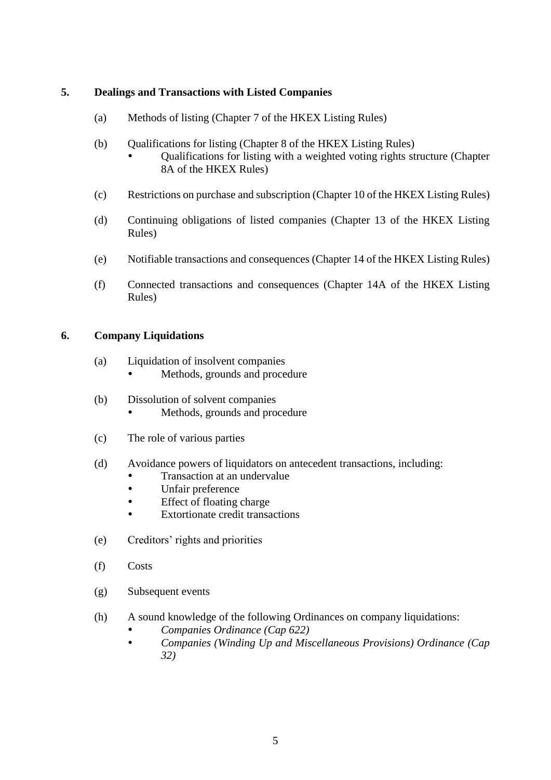## **5. Dealings and Transactions with Listed Companies**

- (a) Methods of listing (Chapter 7 of the HKEX Listing Rules)
- (b) Qualifications for listing (Chapter 8 of the HKEX Listing Rules)
	- Qualifications for listing with a weighted voting rights structure (Chapter 8A of the HKEX Rules)
- (c) Restrictions on purchase and subscription (Chapter 10 of the HKEX Listing Rules)
- (d) Continuing obligations of listed companies (Chapter 13 of the HKEX Listing Rules)
- (e) Notifiable transactions and consequences (Chapter 14 of the HKEX Listing Rules)
- (f) Connected transactions and consequences (Chapter 14A of the HKEX Listing Rules)

#### **6. Company Liquidations**

- (a) Liquidation of insolvent companies
	- Methods, grounds and procedure
- (b) Dissolution of solvent companies
	- Methods, grounds and procedure
- (c) The role of various parties
- (d) Avoidance powers of liquidators on antecedent transactions, including:
	- Transaction at an undervalue
	- Unfair preference
	- Effect of floating charge
	- Extortionate credit transactions
- (e) Creditors' rights and priorities
- (f) Costs
- (g) Subsequent events
- (h) A sound knowledge of the following Ordinances on company liquidations:
	- *Companies Ordinance (Cap 622)*
	- *Companies (Winding Up and Miscellaneous Provisions) Ordinance (Cap 32)*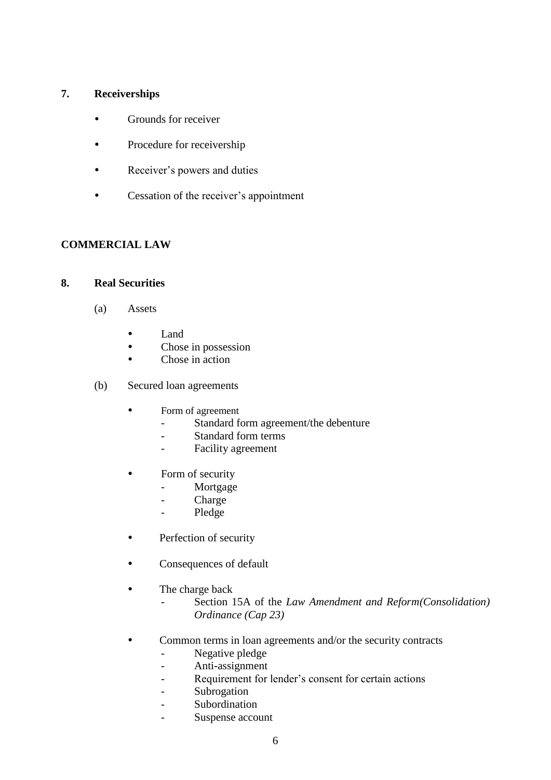## **7. Receiverships**

- Grounds for receiver
- Procedure for receivership
- Receiver's powers and duties
- Cessation of the receiver's appointment

## **COMMERCIAL LAW**

#### **8. Real Securities**

- (a) Assets
	- Land
	- Chose in possession
	- Chose in action
- (b) Secured loan agreements
	- Form of agreement
		- Standard form agreement/the debenture
		- Standard form terms
		- Facility agreement
	- Form of security
		- Mortgage
		- Charge
		- Pledge
	- Perfection of security
	- Consequences of default
	- The charge back
		- Section 15A of the *Law Amendment and Reform(Consolidation) Ordinance (Cap 23)*
	- Common terms in loan agreements and/or the security contracts
		- Negative pledge
		- Anti-assignment
		- Requirement for lender's consent for certain actions
		- Subrogation
		- Subordination
			- Suspense account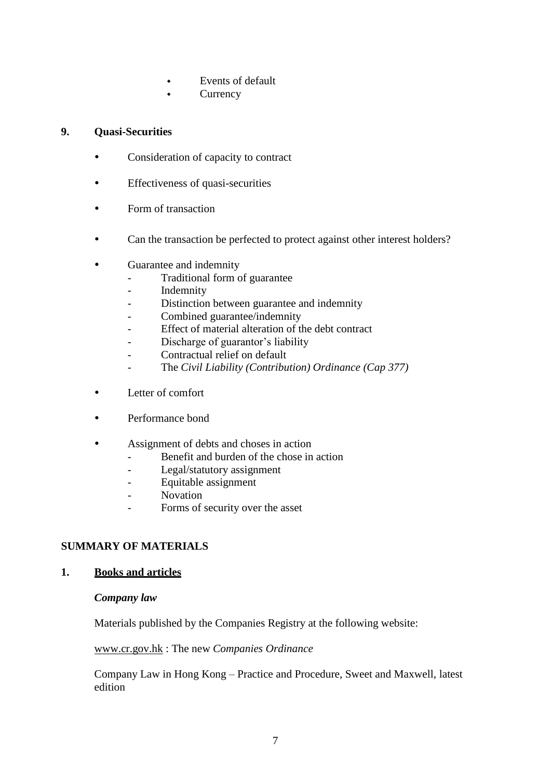- Events of default
- **Currency**

## **9. Quasi-Securities**

- Consideration of capacity to contract
- Effectiveness of quasi-securities
- Form of transaction
- Can the transaction be perfected to protect against other interest holders?
- Guarantee and indemnity
	- Traditional form of guarantee
	- Indemnity
	- Distinction between guarantee and indemnity
	- Combined guarantee/indemnity
	- Effect of material alteration of the debt contract
	- Discharge of guarantor's liability
	- Contractual relief on default
	- The *Civil Liability (Contribution) Ordinance (Cap 377)*
- Letter of comfort
- Performance bond
- Assignment of debts and choses in action
	- Benefit and burden of the chose in action
	- Legal/statutory assignment
	- Equitable assignment
	- Novation
	- Forms of security over the asset

## **SUMMARY OF MATERIALS**

#### **1. Books and articles**

#### *Company law*

Materials published by the Companies Registry at the following website:

[www.cr.gov.hk](http://www.cr.gov.hk/) : The new *Companies Ordinance*

Company Law in Hong Kong – Practice and Procedure, Sweet and Maxwell, latest edition